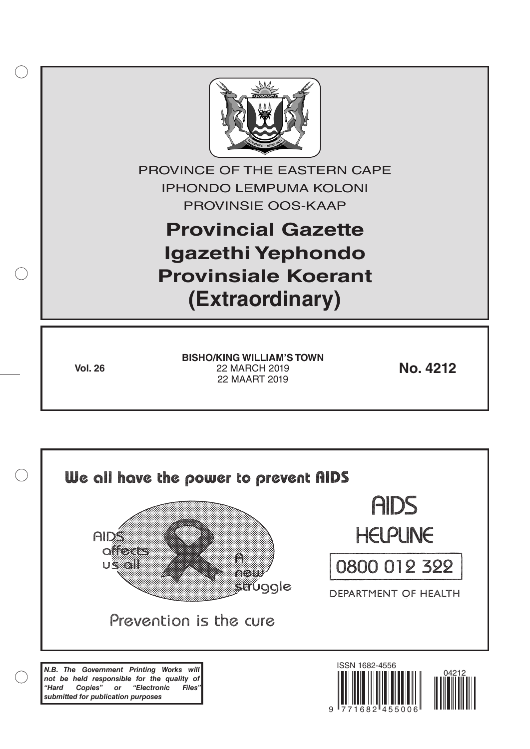

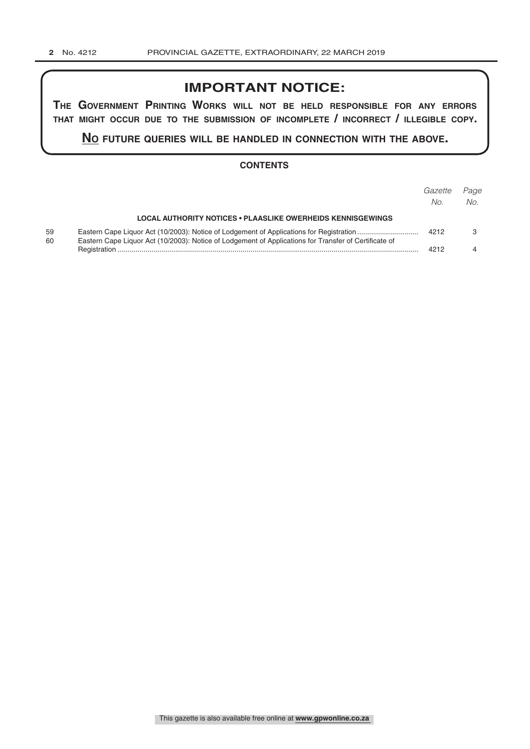## **IMPORTANT NOTICE:**

**The GovernmenT PrinTinG Works Will noT be held resPonsible for any errors ThaT miGhT occur due To The submission of incomPleTe / incorrecT / illeGible coPy.**

**no fuTure queries Will be handled in connecTion WiTh The above.**

#### **CONTENTS**

|          |                                                                                                       | Gazette<br>No. | Page<br>No. |
|----------|-------------------------------------------------------------------------------------------------------|----------------|-------------|
|          | <b>LOCAL AUTHORITY NOTICES • PLAASLIKE OWERHEIDS KENNISGEWINGS</b>                                    |                |             |
| 59<br>60 | Eastern Cape Liquor Act (10/2003): Notice of Lodgement of Applications for Transfer of Certificate of | 4212           |             |
|          |                                                                                                       | 4212           |             |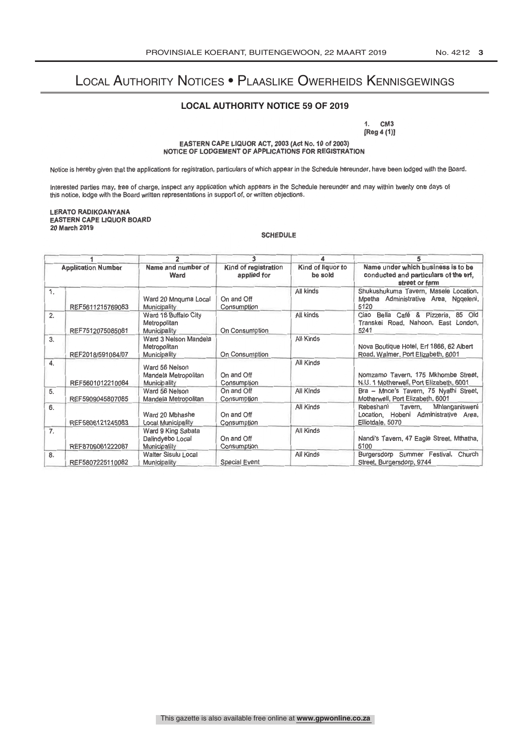## Local Authority Notices • Plaaslike Owerheids Kennisgewings

### **LOCAL AUTHORITY NOTICE 59 OF 2019**

1. CM3

 $[Reg 4 (1)]$ 

# EASTERN CAPE LIQUOR ACT, 2003 (Act No. 10 of 2003) NOTICE OF LODGEMENT OF APPLICATIONS FOR REGISTRATION

Notice is hereby given that the applications for registration, particulars of which appear in the Schedule hereunder, have been lodged with the Board.

Interested parties may, free of charge, inspect any application which appears in the Schedule hereunder and may within twenty one days of<br>this notice, lodge with the Board written representations in support of, or written

LERATO RADIKOANYANA EASTERN CAPE LIQUOR BOARD 20 March 2019

**SCHEDULE** 

| <b>Application Number</b> |                   | $\overline{2}$                                         | 3                                   | 4                            | 5<br>Name under which business is to be<br>conducted and particulars of the erf,<br>street or farm  |  |
|---------------------------|-------------------|--------------------------------------------------------|-------------------------------------|------------------------------|-----------------------------------------------------------------------------------------------------|--|
|                           |                   | Name and number of<br>Ward                             | Kind of registration<br>applied for | Kind of liquor to<br>be sold |                                                                                                     |  |
| 1.                        | REF5611215769083  | Ward 20 Mnguma Local<br>Municipality                   | On and Off<br>Consumption           | All kinds                    | Shukushukuma Tavern, Masele Location,<br>Mpetha Administrative Area, Ngqeleni,<br>5120              |  |
| 2.                        | REF7512075085081  | Ward 18 Buffalo City<br>Metropolitan<br>Municipality   | On Consumption                      | All kinds                    | Bella Café & Pizzeria, 85 Old<br>Ciao<br>Transkei Road, Nahoon, East London,<br>5241                |  |
| 3.                        | REF2018/591084/07 | Ward 3 Nelson Mandela<br>Metropolitan<br>Municipality  | On Consumption                      | All Kinds                    | Nova Boutique Hotel, Erf 1866, 62 Albert<br>Road, Walmer, Port Elizabeth, 6001                      |  |
| 4.                        | REF5601012210084  | Ward 56 Nelson<br>Mandela Metropolitan<br>Municipality | On and Off<br>Consumption           | All Kinds                    | Nomzamo Tavern, 175 Mkhombe Street,<br>N.U. 1 Motherwell, Port Elizabeth, 6001                      |  |
| 5.                        | REF5909045807085  | Ward 56 Nelson<br>Mandela Metropolitan                 | On and Off<br>Consumption           | All Kinds                    | Bra - Mnce's Tavern, 75 Nyathi Street,<br>Motherwell, Port Elizabeth, 6001                          |  |
| 6.                        | REF5806121245083  | Ward 20 Mbhashe<br>Local Municipality                  | On and Off<br>Consumption           | All Kinds                    | Mhlanganisweni<br>Rebeshani<br>Tavern,<br>Location, Hobeni Administrative Area,<br>Elliotdale, 5070 |  |
| 7.                        | REF8709061222087  | Ward 9 King Sabata<br>Dalindyebo Local<br>Municipality | On and Off<br>Consumption           | All Kinds                    | Nandi's Tavern, 47 Eagle Street, Mthatha,<br>5100                                                   |  |
| 8.                        | REF5807225110082  | Walter Sisulu Local<br>Municipality                    | <b>Special Event</b>                | All Kinds                    | Burgersdorp Summer Festival, Church<br>Street, Burgersdorp, 9744                                    |  |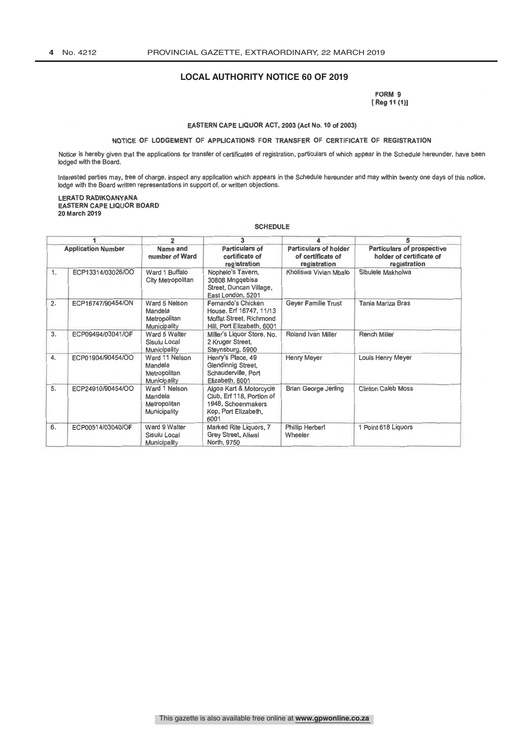#### **LOCAL AUTHORITY NOTICE 60 OF 2019**

FORM 9 [ Reg 11 (1)]

#### EASTERN CAPE LIQUOR ACT, 2003 (Act No. 10 of 2003)

NOTICE OF LODGEMENT OF APPLICATIONS FOR TRANSFER OF CERTIFICATE OF REGISTRATION

Notice is hereby given that the applications for transfer of certificates of registration, particulars of which appear in the Schedule hereunder, have been lodged with the Board.

Interested parties may, free of charge, inspect any application which appears in the Schedule hereunder and may within twenty one days of this notice, lodge with the Board written representations in support of, or written objections.

LERATO RADIKOANYANA EASTERN CAPE LIQUOR BOARD 20 March 2019

SCHEDULE

| <b>Application Number</b> |                   | $\overline{2}$<br>3                                       |                                                                                                            |                                                                   | 5                                                                      |  |
|---------------------------|-------------------|-----------------------------------------------------------|------------------------------------------------------------------------------------------------------------|-------------------------------------------------------------------|------------------------------------------------------------------------|--|
|                           |                   | Name and<br>number of Ward                                | Particulars of<br>certificate of<br>registration                                                           | <b>Particulars of holder</b><br>of certificate of<br>registration | Particulars of prospective<br>holder of certificate of<br>registration |  |
| 1.                        | ECP13314/03026/OO | Ward 1 Buffalo<br>City Metropolitan                       | Nophelo's Tavern,<br>30808 Mngqebisa<br>Street, Duncan Village,<br>East London, 5201                       | Kholiswa Vivian Mbalo                                             | Sibulele Makholwa                                                      |  |
| 2.                        | ECP16747/90454/ON | Ward 5 Nelson<br>Mandela<br>Metropolitan<br>Municipality  | Fernando's Chicken<br>House, Erf 16747, 11/13<br>Moffat Street, Richmond<br>Hill, Port Elizabeth, 6001     | Geyer Familie Trust                                               | Tanja Mariza Bras                                                      |  |
| 3.                        | ECP09494/03041/OF | Ward 5 Walter<br>Sisulu Local<br>Municipality             | Miller's Liquor Store, No.<br>2 Kruger Street,<br>Steynsburg, 5900                                         | Roland Ivan Miller                                                | <b>Rench Miller</b>                                                    |  |
| 4.                        | ECP01904/90454/OO | Ward 11 Nelson<br>Mandela<br>Metropolitan<br>Municipality | Henry's Place, 49<br>Glendinnig Street,<br>Schauderville, Port<br>Elizabeth, 6001                          | Henry Meyer                                                       | Louis Henry Meyer                                                      |  |
| 5.                        | ECP24910/90454/OO | Ward 1 Nelson<br>Mandela<br>Metropolitan<br>Municipality  | Algoa Kart & Motorcycle<br>Club, Erf 118, Portion of<br>1948, Schoenmakers<br>Kop, Port Elizabeth,<br>6001 | <b>Brian George Jerling</b>                                       | <b>Clinton Caleb Moss</b>                                              |  |
| 6.                        | ECP00514/03040/OF | Ward 9 Walter<br>Sisulu Local<br><b>Municipality</b>      | Marked Rite Liquors, 7<br>Grey Street, Aliwal<br>North, 9750                                               | Phillip Herbert<br>Wheeler                                        | 1 Point 618 Liquors                                                    |  |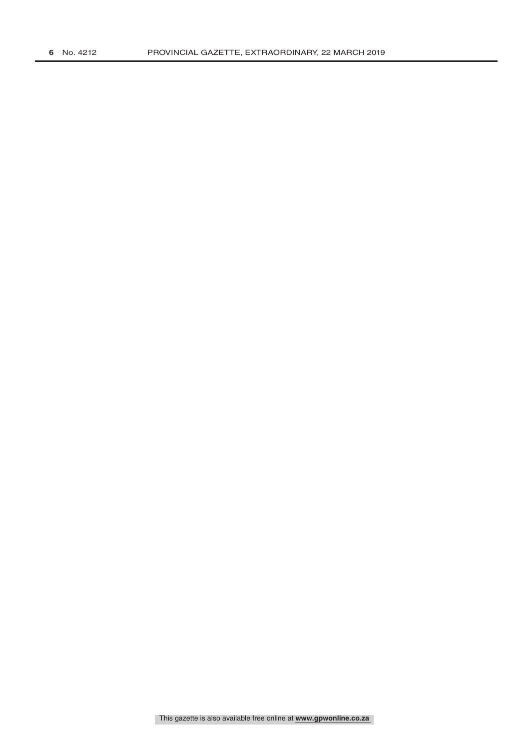This gazette is also available free online at **www.gpwonline.co.za**